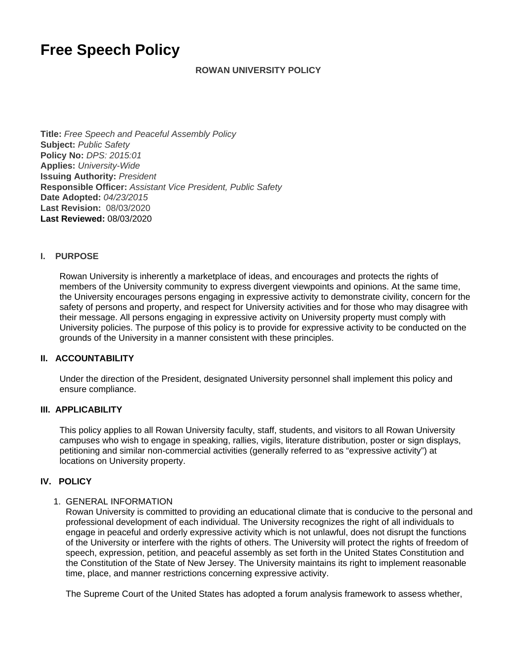# **Free Speech Policy**

## **ROWAN UNIVERSITY POLICY**

**Title:** Free Speech and Peaceful Assembly Policy **Subject:** Public Safety **Policy No:** DPS: 2015:01 **Applies:** University-Wide **Issuing Authority:** President **Responsible Officer:** Assistant Vice President, Public Safety **Date Adopted:** 04/23/2015 **Last Revision:** 08/03/2020 **Last Reviewed:** 08/03/2020

#### **I. PURPOSE**

Rowan University is inherently a marketplace of ideas, and encourages and protects the rights of members of the University community to express divergent viewpoints and opinions. At the same time, the University encourages persons engaging in expressive activity to demonstrate civility, concern for the safety of persons and property, and respect for University activities and for those who may disagree with their message. All persons engaging in expressive activity on University property must comply with University policies. The purpose of this policy is to provide for expressive activity to be conducted on the grounds of the University in a manner consistent with these principles.

#### **II. ACCOUNTABILITY**

Under the direction of the President, designated University personnel shall implement this policy and ensure compliance.

## **III. APPLICABILITY**

This policy applies to all Rowan University faculty, staff, students, and visitors to all Rowan University campuses who wish to engage in speaking, rallies, vigils, literature distribution, poster or sign displays, petitioning and similar non-commercial activities (generally referred to as "expressive activity") at locations on University property.

#### **IV. POLICY**

#### 1. GENERAL INFORMATION

Rowan University is committed to providing an educational climate that is conducive to the personal and professional development of each individual. The University recognizes the right of all individuals to engage in peaceful and orderly expressive activity which is not unlawful, does not disrupt the functions of the University or interfere with the rights of others. The University will protect the rights of freedom of speech, expression, petition, and peaceful assembly as set forth in the United States Constitution and the Constitution of the State of New Jersey. The University maintains its right to implement reasonable time, place, and manner restrictions concerning expressive activity.

The Supreme Court of the United States has adopted a forum analysis framework to assess whether,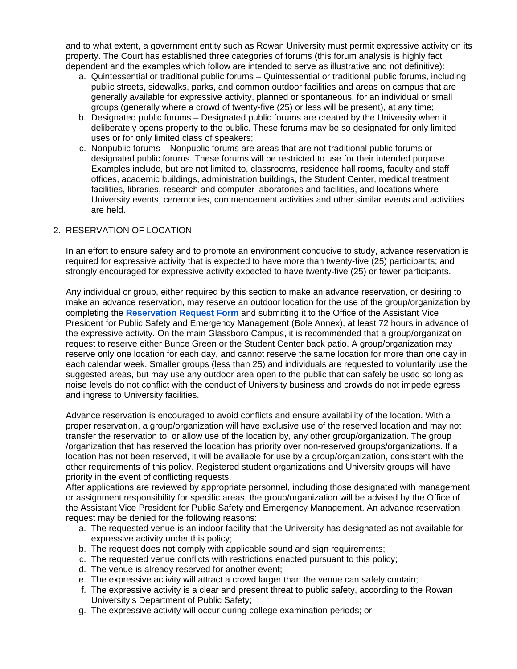and to what extent, a government entity such as Rowan University must permit expressive activity on its property. The Court has established three categories of forums (this forum analysis is highly fact dependent and the examples which follow are intended to serve as illustrative and not definitive):

- a. Quintessential or traditional public forums Quintessential or traditional public forums, including public streets, sidewalks, parks, and common outdoor facilities and areas on campus that are generally available for expressive activity, planned or spontaneous, for an individual or small groups (generally where a crowd of twenty-five (25) or less will be present), at any time;
- b. Designated public forums Designated public forums are created by the University when it deliberately opens property to the public. These forums may be so designated for only limited uses or for only limited class of speakers;
- c. Nonpublic forums Nonpublic forums are areas that are not traditional public forums or designated public forums. These forums will be restricted to use for their intended purpose. Examples include, but are not limited to, classrooms, residence hall rooms, faculty and staff offices, academic buildings, administration buildings, the Student Center, medical treatment facilities, libraries, research and computer laboratories and facilities, and locations where University events, ceremonies, commencement activities and other similar events and activities are held.

## 2. RESERVATION OF LOCATION

In an effort to ensure safety and to promote an environment conducive to study, advance reservation is required for expressive activity that is expected to have more than twenty-five (25) participants; and strongly encouraged for expressive activity expected to have twenty-five (25) or fewer participants.

Any individual or group, either required by this section to make an advance reservation, or desiring to make an advance reservation, may reserve an outdoor location for the use of the group/organization by completing the **[Reservation Request Form](https://confluence.rowan.edu/download/attachments/59670964/FINAL%20-%20Free%20Speech%20and%20Peaceful%20Assembly%20Policy%20%28in%20Word%20-%20draft%20as%20of%207.24.20%29%20%28location%20reservation%20form%29.docx?version=1&modificationDate=1596479218000&api=v2)** and submitting it to the Office of the Assistant Vice President for Public Safety and Emergency Management (Bole Annex), at least 72 hours in advance of the expressive activity. On the main Glassboro Campus, it is recommended that a group/organization request to reserve either Bunce Green or the Student Center back patio. A group/organization may reserve only one location for each day, and cannot reserve the same location for more than one day in each calendar week. Smaller groups (less than 25) and individuals are requested to voluntarily use the suggested areas, but may use any outdoor area open to the public that can safely be used so long as noise levels do not conflict with the conduct of University business and crowds do not impede egress and ingress to University facilities.

Advance reservation is encouraged to avoid conflicts and ensure availability of the location. With a proper reservation, a group/organization will have exclusive use of the reserved location and may not transfer the reservation to, or allow use of the location by, any other group/organization. The group /organization that has reserved the location has priority over non-reserved groups/organizations. If a location has not been reserved, it will be available for use by a group/organization, consistent with the other requirements of this policy. Registered student organizations and University groups will have priority in the event of conflicting requests.

After applications are reviewed by appropriate personnel, including those designated with management or assignment responsibility for specific areas, the group/organization will be advised by the Office of the Assistant Vice President for Public Safety and Emergency Management. An advance reservation request may be denied for the following reasons:

- a. The requested venue is an indoor facility that the University has designated as not available for expressive activity under this policy;
- b. The request does not comply with applicable sound and sign requirements;
- c. The requested venue conflicts with restrictions enacted pursuant to this policy;
- d. The venue is already reserved for another event;
- e. The expressive activity will attract a crowd larger than the venue can safely contain;
- f. The expressive activity is a clear and present threat to public safety, according to the Rowan University's Department of Public Safety;
- g. The expressive activity will occur during college examination periods; or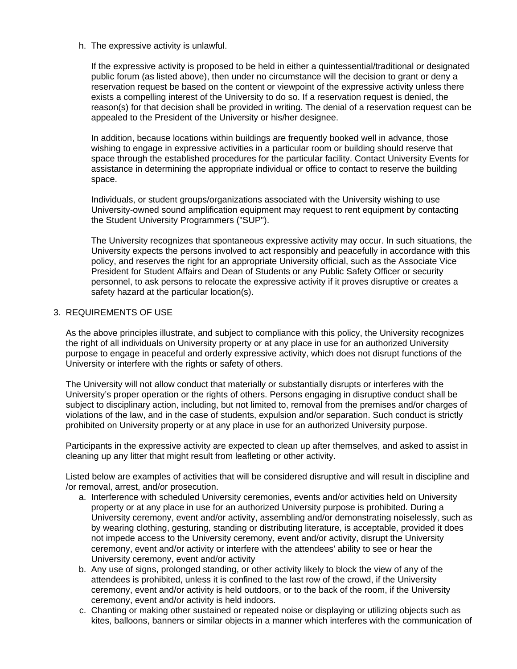h. The expressive activity is unlawful.

If the expressive activity is proposed to be held in either a quintessential/traditional or designated public forum (as listed above), then under no circumstance will the decision to grant or deny a reservation request be based on the content or viewpoint of the expressive activity unless there exists a compelling interest of the University to do so. If a reservation request is denied, the reason(s) for that decision shall be provided in writing. The denial of a reservation request can be appealed to the President of the University or his/her designee.

In addition, because locations within buildings are frequently booked well in advance, those wishing to engage in expressive activities in a particular room or building should reserve that space through the established procedures for the particular facility. Contact University Events for assistance in determining the appropriate individual or office to contact to reserve the building space.

Individuals, or student groups/organizations associated with the University wishing to use University-owned sound amplification equipment may request to rent equipment by contacting the Student University Programmers ("SUP").

The University recognizes that spontaneous expressive activity may occur. In such situations, the University expects the persons involved to act responsibly and peacefully in accordance with this policy, and reserves the right for an appropriate University official, such as the Associate Vice President for Student Affairs and Dean of Students or any Public Safety Officer or security personnel, to ask persons to relocate the expressive activity if it proves disruptive or creates a safety hazard at the particular location(s).

## 3. REQUIREMENTS OF USE

As the above principles illustrate, and subject to compliance with this policy, the University recognizes the right of all individuals on University property or at any place in use for an authorized University purpose to engage in peaceful and orderly expressive activity, which does not disrupt functions of the University or interfere with the rights or safety of others.

The University will not allow conduct that materially or substantially disrupts or interferes with the University's proper operation or the rights of others. Persons engaging in disruptive conduct shall be subject to disciplinary action, including, but not limited to, removal from the premises and/or charges of violations of the law, and in the case of students, expulsion and/or separation. Such conduct is strictly prohibited on University property or at any place in use for an authorized University purpose.

Participants in the expressive activity are expected to clean up after themselves, and asked to assist in cleaning up any litter that might result from leafleting or other activity.

Listed below are examples of activities that will be considered disruptive and will result in discipline and /or removal, arrest, and/or prosecution.

- a. Interference with scheduled University ceremonies, events and/or activities held on University property or at any place in use for an authorized University purpose is prohibited. During a University ceremony, event and/or activity, assembling and/or demonstrating noiselessly, such as by wearing clothing, gesturing, standing or distributing literature, is acceptable, provided it does not impede access to the University ceremony, event and/or activity, disrupt the University ceremony, event and/or activity or interfere with the attendees' ability to see or hear the University ceremony, event and/or activity
- b. Any use of signs, prolonged standing, or other activity likely to block the view of any of the attendees is prohibited, unless it is confined to the last row of the crowd, if the University ceremony, event and/or activity is held outdoors, or to the back of the room, if the University ceremony, event and/or activity is held indoors.
- c. Chanting or making other sustained or repeated noise or displaying or utilizing objects such as kites, balloons, banners or similar objects in a manner which interferes with the communication of